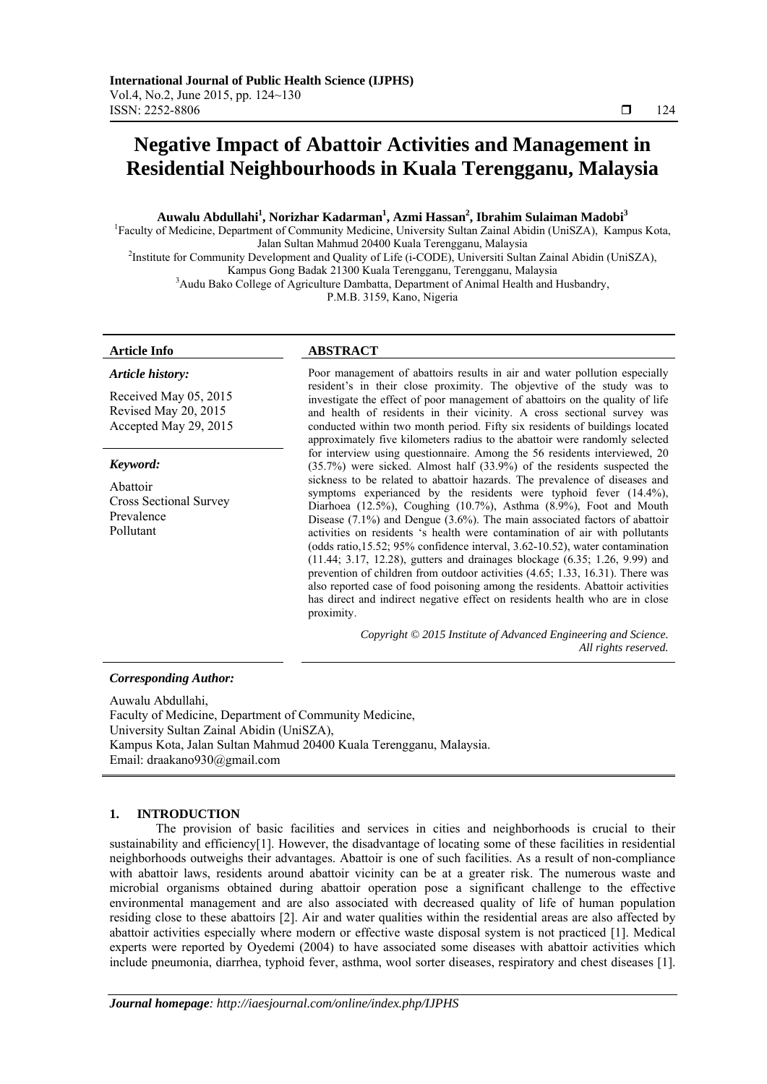# **Negative Impact of Abattoir Activities and Management in Residential Neighbourhoods in Kuala Terengganu, Malaysia**

# **Auwalu Abdullahi1 , Norizhar Kadarman1 , Azmi Hassan2 , Ibrahim Sulaiman Madobi<sup>3</sup>**

<sup>1</sup>Faculty of Medicine, Department of Community Medicine, University Sultan Zainal Abidin (UniSZA), Kampus Kota, Jalan Sultan Mahmud 20400 Kuala Terengganu, Malaysia 2

<sup>2</sup>Institute for Community Development and Quality of Life (i-CODE), Universiti Sultan Zainal Abidin (UniSZA),

Kampus Gong Badak 21300 Kuala Terengganu, Terengganu, Malaysia 3

<sup>3</sup> Audu Bako College of Agriculture Dambatta, Department of Animal Health and Husbandry,

P.M.B. 3159, Kano, Nigeria

# **Article Info ABSTRACT**

*Keyword:*  Abattoir

Prevalence Pollutant

*Article history:* 

Received May 05, 2015 Revised May 20, 2015 Accepted May 29, 2015

Cross Sectional Survey

Poor management of abattoirs results in air and water pollution especially resident's in their close proximity. The objevtive of the study was to investigate the effect of poor management of abattoirs on the quality of life and health of residents in their vicinity. A cross sectional survey was conducted within two month period. Fifty six residents of buildings located approximately five kilometers radius to the abattoir were randomly selected for interview using questionnaire. Among the 56 residents interviewed, 20 (35.7%) were sicked. Almost half (33.9%) of the residents suspected the sickness to be related to abattoir hazards. The prevalence of diseases and symptoms experianced by the residents were typhoid fever (14.4%), Diarhoea (12.5%), Coughing (10.7%), Asthma (8.9%), Foot and Mouth Disease (7.1%) and Dengue (3.6%). The main associated factors of abattoir activities on residents 's health were contamination of air with pollutants (odds ratio,15.52; 95% confidence interval, 3.62-10.52), water contamination (11.44; 3.17, 12.28), gutters and drainages blockage (6.35; 1.26, 9.99) and prevention of children from outdoor activities (4.65; 1.33, 16.31). There was also reported case of food poisoning among the residents. Abattoir activities has direct and indirect negative effect on residents health who are in close proximity.

> *Copyright © 2015 Institute of Advanced Engineering and Science. All rights reserved.*

### *Corresponding Author:*

Auwalu Abdullahi, Faculty of Medicine, Department of Community Medicine, University Sultan Zainal Abidin (UniSZA), Kampus Kota, Jalan Sultan Mahmud 20400 Kuala Terengganu, Malaysia. Email: draakano930@gmail.com

# **1. INTRODUCTION**

The provision of basic facilities and services in cities and neighborhoods is crucial to their sustainability and efficiency[1]. However, the disadvantage of locating some of these facilities in residential neighborhoods outweighs their advantages. Abattoir is one of such facilities. As a result of non-compliance with abattoir laws, residents around abattoir vicinity can be at a greater risk. The numerous waste and microbial organisms obtained during abattoir operation pose a significant challenge to the effective environmental management and are also associated with decreased quality of life of human population residing close to these abattoirs [2]. Air and water qualities within the residential areas are also affected by abattoir activities especially where modern or effective waste disposal system is not practiced [1]. Medical experts were reported by Oyedemi (2004) to have associated some diseases with abattoir activities which include pneumonia, diarrhea, typhoid fever, asthma, wool sorter diseases, respiratory and chest diseases [1].

ֺֺ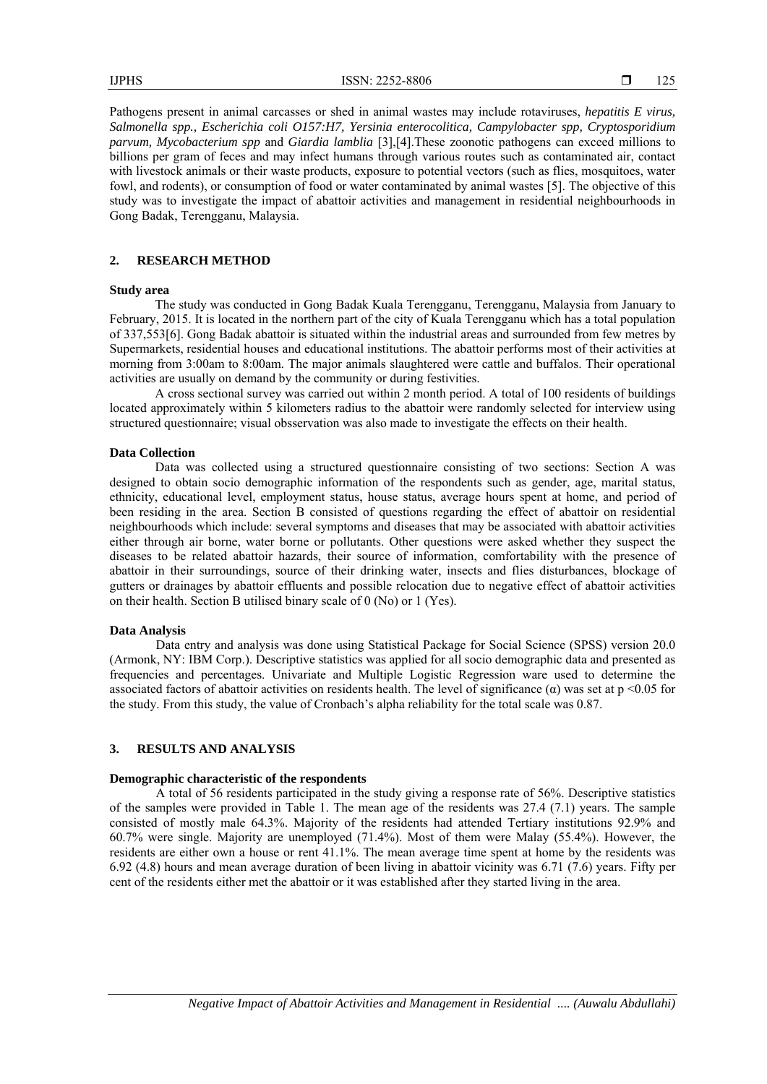Pathogens present in animal carcasses or shed in animal wastes may include rotaviruses, *hepatitis E virus, Salmonella spp., Escherichia coli O157:H7, Yersinia enterocolitica, Campylobacter spp, Cryptosporidium parvum, Mycobacterium spp* and *Giardia lamblia* [3],[4].These zoonotic pathogens can exceed millions to billions per gram of feces and may infect humans through various routes such as contaminated air, contact with livestock animals or their waste products, exposure to potential vectors (such as flies, mosquitoes, water fowl, and rodents), or consumption of food or water contaminated by animal wastes [5]. The objective of this study was to investigate the impact of abattoir activities and management in residential neighbourhoods in Gong Badak, Terengganu, Malaysia.

## **2. RESEARCH METHOD**

#### **Study area**

The study was conducted in Gong Badak Kuala Terengganu, Terengganu, Malaysia from January to February, 2015. It is located in the northern part of the city of Kuala Terengganu which has a total population of 337,553[6]. Gong Badak abattoir is situated within the industrial areas and surrounded from few metres by Supermarkets, residential houses and educational institutions. The abattoir performs most of their activities at morning from 3:00am to 8:00am. The major animals slaughtered were cattle and buffalos. Their operational activities are usually on demand by the community or during festivities.

A cross sectional survey was carried out within 2 month period. A total of 100 residents of buildings located approximately within 5 kilometers radius to the abattoir were randomly selected for interview using structured questionnaire; visual obsservation was also made to investigate the effects on their health.

#### **Data Collection**

Data was collected using a structured questionnaire consisting of two sections: Section A was designed to obtain socio demographic information of the respondents such as gender, age, marital status, ethnicity, educational level, employment status, house status, average hours spent at home, and period of been residing in the area. Section B consisted of questions regarding the effect of abattoir on residential neighbourhoods which include: several symptoms and diseases that may be associated with abattoir activities either through air borne, water borne or pollutants. Other questions were asked whether they suspect the diseases to be related abattoir hazards, their source of information, comfortability with the presence of abattoir in their surroundings, source of their drinking water, insects and flies disturbances, blockage of gutters or drainages by abattoir effluents and possible relocation due to negative effect of abattoir activities on their health. Section B utilised binary scale of 0 (No) or 1 (Yes).

#### **Data Analysis**

Data entry and analysis was done using Statistical Package for Social Science (SPSS) version 20.0 (Armonk, NY: IBM Corp.). Descriptive statistics was applied for all socio demographic data and presented as frequencies and percentages. Univariate and Multiple Logistic Regression ware used to determine the associated factors of abattoir activities on residents health. The level of significance  $(\alpha)$  was set at p <0.05 for the study. From this study, the value of Cronbach's alpha reliability for the total scale was 0.87.

# **3. RESULTS AND ANALYSIS**

#### **Demographic characteristic of the respondents**

A total of 56 residents participated in the study giving a response rate of 56%. Descriptive statistics of the samples were provided in Table 1. The mean age of the residents was 27.4 (7.1) years. The sample consisted of mostly male 64.3%. Majority of the residents had attended Tertiary institutions 92.9% and 60.7% were single. Majority are unemployed (71.4%). Most of them were Malay (55.4%). However, the residents are either own a house or rent 41.1%. The mean average time spent at home by the residents was 6.92 (4.8) hours and mean average duration of been living in abattoir vicinity was 6.71 (7.6) years. Fifty per cent of the residents either met the abattoir or it was established after they started living in the area.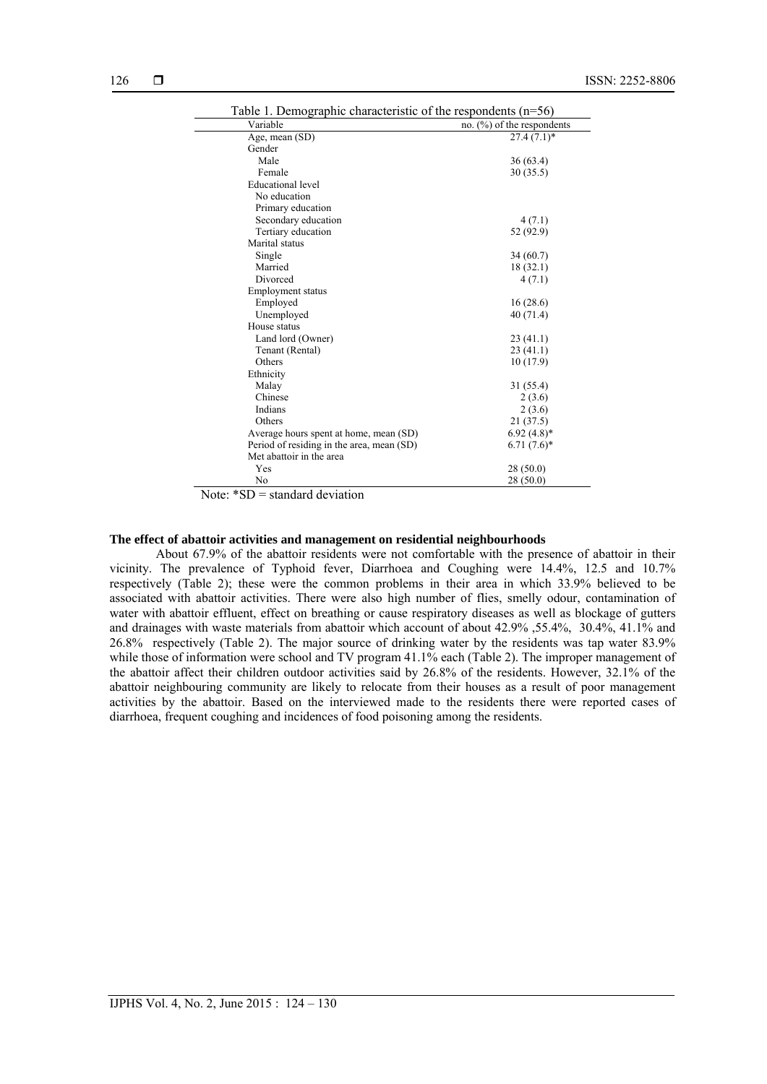| Variable                                  | no. $(\%)$ of the respondents |  |  |
|-------------------------------------------|-------------------------------|--|--|
| Age, mean (SD)                            | $27.4(7.1)$ *                 |  |  |
| Gender                                    |                               |  |  |
| Male                                      | 36(63.4)                      |  |  |
| Female                                    | 30(35.5)                      |  |  |
| Educational level                         |                               |  |  |
| No education                              |                               |  |  |
| Primary education                         |                               |  |  |
| Secondary education                       | 4(7.1)                        |  |  |
| Tertiary education                        | 52 (92.9)                     |  |  |
| Marital status                            |                               |  |  |
| Single                                    | 34(60.7)                      |  |  |
| Married                                   | 18(32.1)                      |  |  |
| Divorced                                  | 4(7.1)                        |  |  |
| <b>Employment status</b>                  |                               |  |  |
| Employed                                  | 16(28.6)                      |  |  |
| Unemployed                                | 40(71.4)                      |  |  |
| House status                              |                               |  |  |
| Land lord (Owner)                         | 23(41.1)                      |  |  |
| Tenant (Rental)                           | 23(41.1)                      |  |  |
| Others                                    | 10(17.9)                      |  |  |
| Ethnicity                                 |                               |  |  |
| Malay                                     | 31 (55.4)                     |  |  |
| Chinese                                   | 2(3.6)                        |  |  |
| Indians                                   | 2(3.6)                        |  |  |
| Others                                    | 21 (37.5)                     |  |  |
| Average hours spent at home, mean (SD)    | $6.92(4.8)*$                  |  |  |
| Period of residing in the area, mean (SD) | $6.71(7.6)$ *                 |  |  |
| Met abattoir in the area                  |                               |  |  |
| Yes                                       | 28(50.0)                      |  |  |
| No                                        | 28(50.0)                      |  |  |

Note: \*SD = standard deviation

# **The effect of abattoir activities and management on residential neighbourhoods**

About 67.9% of the abattoir residents were not comfortable with the presence of abattoir in their vicinity. The prevalence of Typhoid fever, Diarrhoea and Coughing were 14.4%, 12.5 and 10.7% respectively (Table 2); these were the common problems in their area in which 33.9% believed to be associated with abattoir activities. There were also high number of flies, smelly odour, contamination of water with abattoir effluent, effect on breathing or cause respiratory diseases as well as blockage of gutters and drainages with waste materials from abattoir which account of about 42.9% ,55.4%, 30.4%, 41.1% and 26.8% respectively (Table 2). The major source of drinking water by the residents was tap water 83.9% while those of information were school and TV program 41.1% each (Table 2). The improper management of the abattoir affect their children outdoor activities said by 26.8% of the residents. However, 32.1% of the abattoir neighbouring community are likely to relocate from their houses as a result of poor management activities by the abattoir. Based on the interviewed made to the residents there were reported cases of diarrhoea, frequent coughing and incidences of food poisoning among the residents.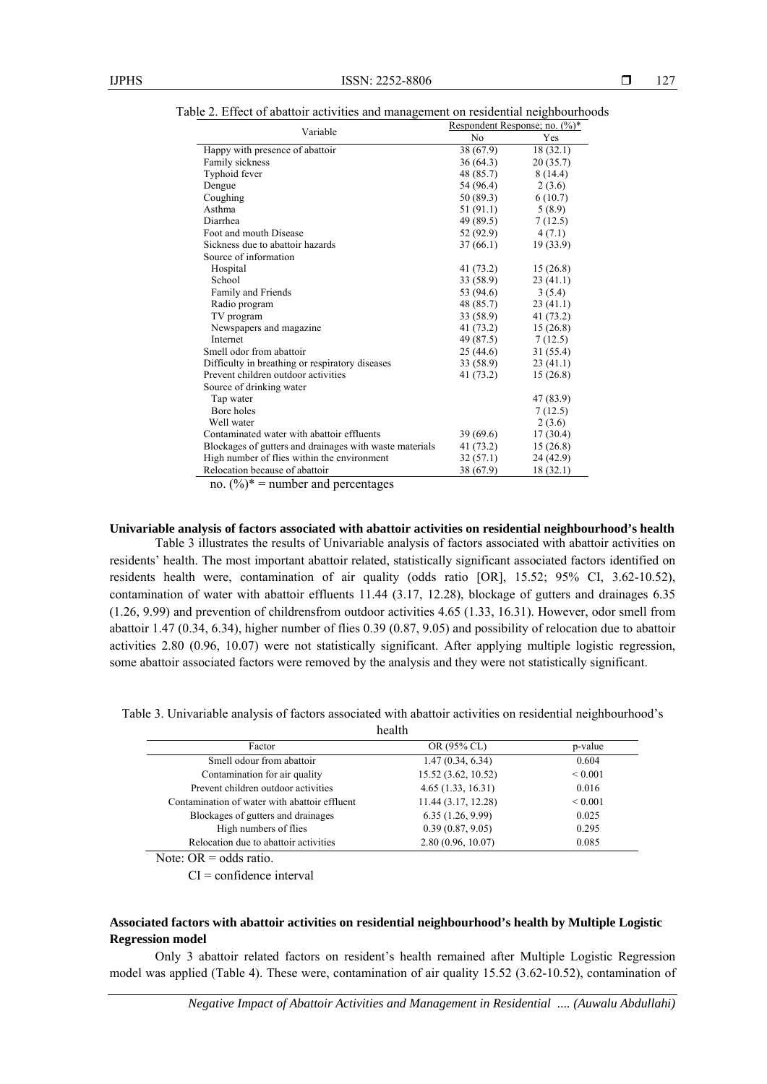| Variable                                                | Respondent Response; no. (%)* |           |  |  |  |
|---------------------------------------------------------|-------------------------------|-----------|--|--|--|
|                                                         | N <sub>0</sub>                | Yes       |  |  |  |
| Happy with presence of abattoir                         | 38 (67.9)                     | 18(32.1)  |  |  |  |
| Family sickness                                         | 36(64.3)                      | 20(35.7)  |  |  |  |
| Typhoid fever                                           | 48 (85.7)                     | 8(14.4)   |  |  |  |
| Dengue                                                  | 54 (96.4)                     | 2(3.6)    |  |  |  |
| Coughing                                                | 50 (89.3)                     | 6(10.7)   |  |  |  |
| Asthma                                                  | 51 (91.1)                     | 5(8.9)    |  |  |  |
| Diarrhea                                                | 49 (89.5)                     | 7(12.5)   |  |  |  |
| Foot and mouth Disease                                  | 52 (92.9)                     | 4(7.1)    |  |  |  |
| Sickness due to abattoir hazards                        | 37(66.1)                      | 19 (33.9) |  |  |  |
| Source of information                                   |                               |           |  |  |  |
| Hospital                                                | 41 (73.2)                     | 15(26.8)  |  |  |  |
| School                                                  | 33 (58.9)                     | 23(41.1)  |  |  |  |
| Family and Friends                                      | 53 (94.6)                     | 3(5.4)    |  |  |  |
| Radio program                                           | 48 (85.7)                     | 23(41.1)  |  |  |  |
| TV program                                              | 33 (58.9)                     | 41 (73.2) |  |  |  |
| Newspapers and magazine.                                | 41 (73.2)                     | 15(26.8)  |  |  |  |
| Internet                                                | 49 (87.5)                     | 7(12.5)   |  |  |  |
| Smell odor from abattoir                                | 25(44.6)                      | 31(55.4)  |  |  |  |
| Difficulty in breathing or respiratory diseases         | 33 (58.9)                     | 23(41.1)  |  |  |  |
| Prevent children outdoor activities                     | 41(73.2)                      | 15(26.8)  |  |  |  |
| Source of drinking water                                |                               |           |  |  |  |
| Tap water                                               |                               | 47 (83.9) |  |  |  |
| Bore holes                                              |                               | 7(12.5)   |  |  |  |
| Well water                                              |                               | 2(3.6)    |  |  |  |
| Contaminated water with abattoir effluents              | 39(69.6)                      | 17(30.4)  |  |  |  |
| Blockages of gutters and drainages with waste materials | 41 (73.2)                     | 15(26.8)  |  |  |  |
| High number of flies within the environment             | 32(57.1)                      | 24 (42.9) |  |  |  |
| Relocation because of abattoir                          | 38 (67.9)                     | 18 (32.1) |  |  |  |

Table 2. Effect of abattoir activities and management on residential neighbourhoods

no.  $(\frac{9}{6})^*$  = number and percentages

**Univariable analysis of factors associated with abattoir activities on residential neighbourhood's health**

Table 3 illustrates the results of Univariable analysis of factors associated with abattoir activities on residents' health. The most important abattoir related, statistically significant associated factors identified on residents health were, contamination of air quality (odds ratio [OR], 15.52; 95% CI, 3.62-10.52), contamination of water with abattoir effluents 11.44 (3.17, 12.28), blockage of gutters and drainages 6.35 (1.26, 9.99) and prevention of childrensfrom outdoor activities 4.65 (1.33, 16.31). However, odor smell from abattoir 1.47 (0.34, 6.34), higher number of flies 0.39 (0.87, 9.05) and possibility of relocation due to abattoir activities 2.80 (0.96, 10.07) were not statistically significant. After applying multiple logistic regression, some abattoir associated factors were removed by the analysis and they were not statistically significant.

Table 3. Univariable analysis of factors associated with abattoir activities on residential neighbourhood's health

| Factor                                        | OR (95% CL)         | p-value      |  |  |  |  |
|-----------------------------------------------|---------------------|--------------|--|--|--|--|
| Smell odour from abattoir                     | 1.47(0.34, 6.34)    | 0.604        |  |  |  |  |
| Contamination for air quality                 | 15.52 (3.62, 10.52) | ${}_{0.001}$ |  |  |  |  |
| Prevent children outdoor activities           | 4.65(1.33, 16.31)   | 0.016        |  |  |  |  |
| Contamination of water with abattoir effluent | 11.44 (3.17, 12.28) | ${}_{0.001}$ |  |  |  |  |
| Blockages of gutters and drainages            | 6.35(1.26, 9.99)    | 0.025        |  |  |  |  |
| High numbers of flies                         | 0.39(0.87, 9.05)    | 0.295        |  |  |  |  |
| Relocation due to abattoir activities         | 2.80(0.96, 10.07)   | 0.085        |  |  |  |  |

Note:  $OR = odds ratio$ .

 $CI =$  confidence interval

# **Associated factors with abattoir activities on residential neighbourhood's health by Multiple Logistic Regression model**

Only 3 abattoir related factors on resident's health remained after Multiple Logistic Regression model was applied (Table 4). These were, contamination of air quality 15.52 (3.62-10.52), contamination of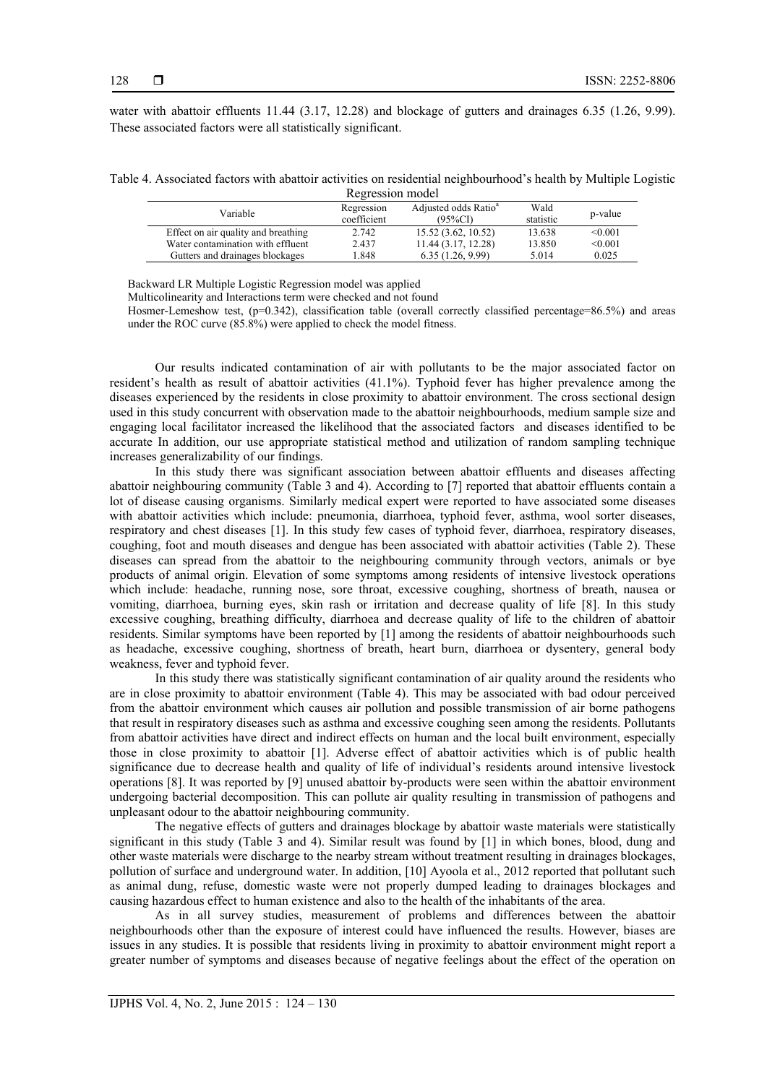water with abattoir effluents 11.44 (3.17, 12.28) and blockage of gutters and drainages 6.35 (1.26, 9.99). These associated factors were all statistically significant.

| Table 4. Associated factors with abattoir activities on residential neighbourhood's health by Multiple Logistic |  |  |                  |  |  |  |
|-----------------------------------------------------------------------------------------------------------------|--|--|------------------|--|--|--|
|                                                                                                                 |  |  | Regression model |  |  |  |

| 100 <sub>51</sub>                   |                           |                                            |                   |         |  |  |  |
|-------------------------------------|---------------------------|--------------------------------------------|-------------------|---------|--|--|--|
| Variable                            | Regression<br>coefficient | Adjusted odds Ratio <sup>a</sup><br>(95%CD | Wald<br>statistic | p-value |  |  |  |
| Effect on air quality and breathing | 2.742                     | 15.52(3.62, 10.52)                         | 13.638            | < 0.001 |  |  |  |
| Water contamination with effluent   | 2.437                     | 11.44(3.17, 12.28)                         | 13.850            | < 0.001 |  |  |  |
| Gutters and drainages blockages     | 1.848                     | 6.35(1.26, 9.99)                           | 5.014             | 0.025   |  |  |  |

Backward LR Multiple Logistic Regression model was applied

Multicolinearity and Interactions term were checked and not found

Hosmer-Lemeshow test, (p=0.342), classification table (overall correctly classified percentage=86.5%) and areas under the ROC curve (85.8%) were applied to check the model fitness.

Our results indicated contamination of air with pollutants to be the major associated factor on resident's health as result of abattoir activities (41.1%). Typhoid fever has higher prevalence among the diseases experienced by the residents in close proximity to abattoir environment. The cross sectional design used in this study concurrent with observation made to the abattoir neighbourhoods, medium sample size and engaging local facilitator increased the likelihood that the associated factors and diseases identified to be accurate In addition, our use appropriate statistical method and utilization of random sampling technique increases generalizability of our findings.

In this study there was significant association between abattoir effluents and diseases affecting abattoir neighbouring community (Table 3 and 4). According to [7] reported that abattoir effluents contain a lot of disease causing organisms. Similarly medical expert were reported to have associated some diseases with abattoir activities which include: pneumonia, diarrhoea, typhoid fever, asthma, wool sorter diseases, respiratory and chest diseases [1]. In this study few cases of typhoid fever, diarrhoea, respiratory diseases, coughing, foot and mouth diseases and dengue has been associated with abattoir activities (Table 2). These diseases can spread from the abattoir to the neighbouring community through vectors, animals or bye products of animal origin. Elevation of some symptoms among residents of intensive livestock operations which include: headache, running nose, sore throat, excessive coughing, shortness of breath, nausea or vomiting, diarrhoea, burning eyes, skin rash or irritation and decrease quality of life [8]. In this study excessive coughing, breathing difficulty, diarrhoea and decrease quality of life to the children of abattoir residents. Similar symptoms have been reported by [1] among the residents of abattoir neighbourhoods such as headache, excessive coughing, shortness of breath, heart burn, diarrhoea or dysentery, general body weakness, fever and typhoid fever.

In this study there was statistically significant contamination of air quality around the residents who are in close proximity to abattoir environment (Table 4). This may be associated with bad odour perceived from the abattoir environment which causes air pollution and possible transmission of air borne pathogens that result in respiratory diseases such as asthma and excessive coughing seen among the residents. Pollutants from abattoir activities have direct and indirect effects on human and the local built environment, especially those in close proximity to abattoir [1]. Adverse effect of abattoir activities which is of public health significance due to decrease health and quality of life of individual's residents around intensive livestock operations [8]. It was reported by [9] unused abattoir by-products were seen within the abattoir environment undergoing bacterial decomposition. This can pollute air quality resulting in transmission of pathogens and unpleasant odour to the abattoir neighbouring community.

The negative effects of gutters and drainages blockage by abattoir waste materials were statistically significant in this study (Table 3 and 4). Similar result was found by [1] in which bones, blood, dung and other waste materials were discharge to the nearby stream without treatment resulting in drainages blockages, pollution of surface and underground water. In addition, [10] Ayoola et al., 2012 reported that pollutant such as animal dung, refuse, domestic waste were not properly dumped leading to drainages blockages and causing hazardous effect to human existence and also to the health of the inhabitants of the area.

As in all survey studies, measurement of problems and differences between the abattoir neighbourhoods other than the exposure of interest could have influenced the results. However, biases are issues in any studies. It is possible that residents living in proximity to abattoir environment might report a greater number of symptoms and diseases because of negative feelings about the effect of the operation on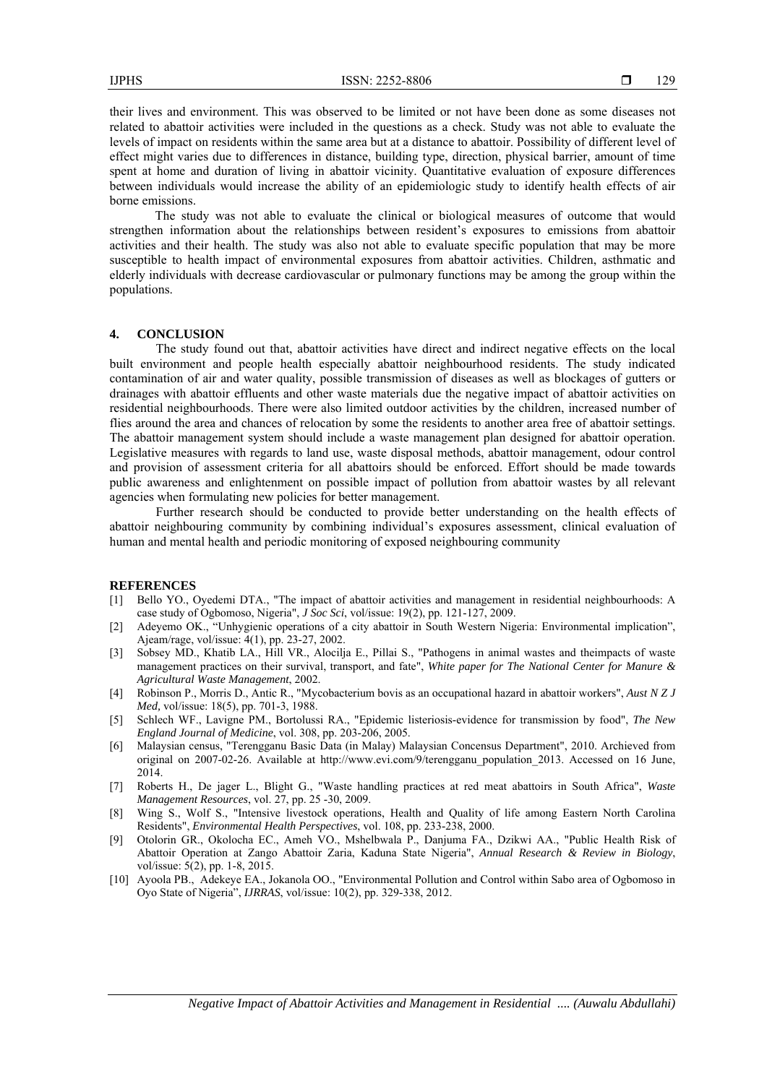their lives and environment. This was observed to be limited or not have been done as some diseases not related to abattoir activities were included in the questions as a check. Study was not able to evaluate the levels of impact on residents within the same area but at a distance to abattoir. Possibility of different level of effect might varies due to differences in distance, building type, direction, physical barrier, amount of time spent at home and duration of living in abattoir vicinity. Quantitative evaluation of exposure differences between individuals would increase the ability of an epidemiologic study to identify health effects of air borne emissions.

The study was not able to evaluate the clinical or biological measures of outcome that would strengthen information about the relationships between resident's exposures to emissions from abattoir activities and their health. The study was also not able to evaluate specific population that may be more susceptible to health impact of environmental exposures from abattoir activities. Children, asthmatic and elderly individuals with decrease cardiovascular or pulmonary functions may be among the group within the populations.

#### **4. CONCLUSION**

The study found out that, abattoir activities have direct and indirect negative effects on the local built environment and people health especially abattoir neighbourhood residents. The study indicated contamination of air and water quality, possible transmission of diseases as well as blockages of gutters or drainages with abattoir effluents and other waste materials due the negative impact of abattoir activities on residential neighbourhoods. There were also limited outdoor activities by the children, increased number of flies around the area and chances of relocation by some the residents to another area free of abattoir settings. The abattoir management system should include a waste management plan designed for abattoir operation. Legislative measures with regards to land use, waste disposal methods, abattoir management, odour control and provision of assessment criteria for all abattoirs should be enforced. Effort should be made towards public awareness and enlightenment on possible impact of pollution from abattoir wastes by all relevant agencies when formulating new policies for better management.

Further research should be conducted to provide better understanding on the health effects of abattoir neighbouring community by combining individual's exposures assessment, clinical evaluation of human and mental health and periodic monitoring of exposed neighbouring community

#### **REFERENCES**

- [1] Bello YO., Oyedemi DTA., "The impact of abattoir activities and management in residential neighbourhoods: A case study of Ogbomoso, Nigeria", *J Soc Sci*, vol/issue: 19(2), pp. 121-127, 2009.
- [2] Adeyemo OK., "Unhygienic operations of a city abattoir in South Western Nigeria: Environmental implication", Ajeam/rage, vol/issue: 4(1), pp. 23-27, 2002.
- [3] Sobsey MD., Khatib LA., Hill VR., Alocilja E., Pillai S., "Pathogens in animal wastes and theimpacts of waste management practices on their survival, transport, and fate", *White paper for The National Center for Manure & Agricultural Waste Management*, 2002.
- [4] Robinson P., Morris D., Antic R., "Mycobacterium bovis as an occupational hazard in abattoir workers", *Aust N Z J Med,* vol/issue: 18(5), pp. 701-3, 1988.
- [5] Schlech WF., Lavigne PM., Bortolussi RA., "Epidemic listeriosis-evidence for transmission by food", *The New England Journal of Medicine*, vol. 308, pp. 203-206, 2005.
- [6] Malaysian census, "Terengganu Basic Data (in Malay) Malaysian Concensus Department", 2010. Archieved from original on 2007-02-26. Available at http://www.evi.com/9/terengganu\_population\_2013. Accessed on 16 June, 2014.
- [7] Roberts H., De jager L., Blight G., "Waste handling practices at red meat abattoirs in South Africa", *Waste Management Resources*, vol. 27, pp. 25 -30, 2009.
- [8] Wing S., Wolf S., "Intensive livestock operations, Health and Quality of life among Eastern North Carolina Residents", *Environmental Health Perspectives*, vol. 108, pp. 233-238, 2000.
- [9] Otolorin GR., Okolocha EC., Ameh VO., Mshelbwala P., Danjuma FA., Dzikwi AA., "Public Health Risk of Abattoir Operation at Zango Abattoir Zaria, Kaduna State Nigeria", *Annual Research & Review in Biology*, vol/issue: 5(2), pp. 1-8, 2015.
- [10] Ayoola PB., Adekeye EA., Jokanola OO., "Environmental Pollution and Control within Sabo area of Ogbomoso in Oyo State of Nigeria", *IJRRAS*, vol/issue: 10(2), pp. 329-338, 2012.